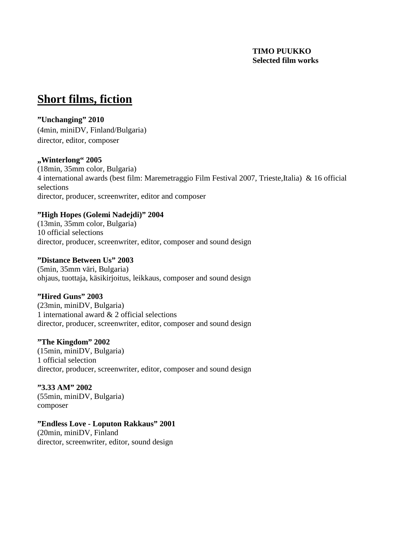#### **TIMO PUUKKO Selected film works**

## **Short films, fiction**

#### **"Unchanging" 2010**

(4min, miniDV, Finland/Bulgaria) director, editor, composer

#### **"Winterlong" 2005**

(18min, 35mm color, Bulgaria) 4 international awards (best film: Maremetraggio Film Festival 2007, Trieste,Italia) & 16 official selections director, producer, screenwriter, editor and composer

#### **"High Hopes (Golemi Nadejdi)" 2004**

(13min, 35mm color, Bulgaria) 10 official selections director, producer, screenwriter, editor, composer and sound design

#### **"Distance Between Us" 2003**

(5min, 35mm väri, Bulgaria) ohjaus, tuottaja, käsikirjoitus, leikkaus, composer and sound design

### **"Hired Guns" 2003**

(23min, miniDV, Bulgaria) 1 international award & 2 official selections director, producer, screenwriter, editor, composer and sound design

#### **"The Kingdom" 2002**

(15min, miniDV, Bulgaria) 1 official selection director, producer, screenwriter, editor, composer and sound design

**"3.33 AM" 2002** (55min, miniDV, Bulgaria) composer

#### **"Endless Love - Loputon Rakkaus" 2001** (20min, miniDV, Finland

director, screenwriter, editor, sound design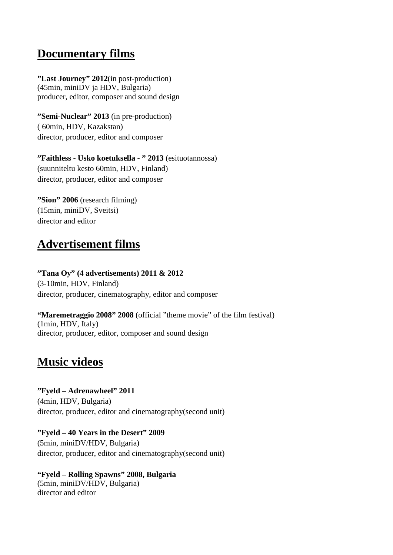## **Documentary films**

**"Last Journey" 2012**(in post-production) (45min, miniDV ja HDV, Bulgaria) producer, editor, composer and sound design

**"Semi-Nuclear" 2013** (in pre-production) ( 60min, HDV, Kazakstan) director, producer, editor and composer

**"Faithless - Usko koetuksella - " 2013** (esituotannossa) (suunniteltu kesto 60min, HDV, Finland) director, producer, editor and composer

**"Sion" 2006** (research filming) (15min, miniDV, Sveitsi) director and editor

## **Advertisement films**

**"Tana Oy" (4 advertisements) 2011 & 2012** (3-10min, HDV, Finland) director, producer, cinematography, editor and composer

**"Maremetraggio 2008" 2008** (official "theme movie" of the film festival) (1min, HDV, Italy) director, producer, editor, composer and sound design

### **Music videos**

**"Fyeld – Adrenawheel" 2011** (4min, HDV, Bulgaria) director, producer, editor and cinematography(second unit)

**"Fyeld – 40 Years in the Desert" 2009** (5min, miniDV/HDV, Bulgaria) director, producer, editor and cinematography(second unit)

**"Fyeld – Rolling Spawns" 2008, Bulgaria** (5min, miniDV/HDV, Bulgaria) director and editor